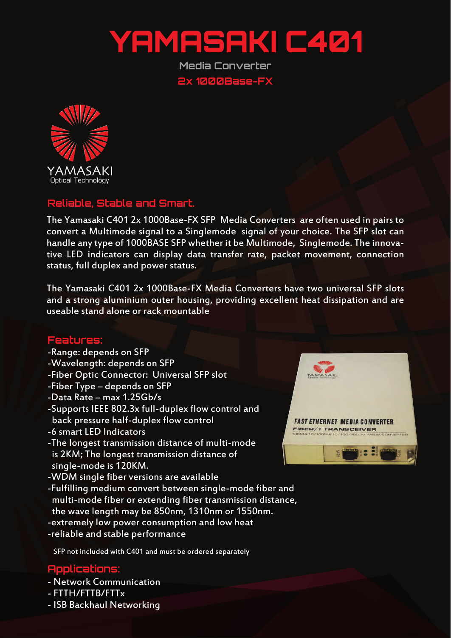

**Media Converter 2x 1000Base-FX**



## **Reliable, Stable and Smart.**

The Yamasaki C401 2x 1000Base-FX SFP Media Converters are often used in pairs to convert a Multimode signal to a Singlemode signal of your choice. The SFP slot can handle any type of 1000BASE SFP whether it be Multimode, Singlemode. The innovative LED indicators can display data transfer rate, packet movement, connection status, full duplex and power status.

The Yamasaki C401 2x 1000Base-FX Media Converters have two universal SFP slots and a strong aluminium outer housing, providing excellent heat dissipation and are useable stand alone or rack mountable

## **Features:**

- -Range: depends on SFP
- -Wavelength: depends on SFP
- -Fiber Optic Connector: Universal SFP slot
- -Fiber Type depends on SFP
- -Data Rate max 1.25Gb/s
- -Supports IEEE 802.3x full-duplex flow control and back pressure half-duplex flow control
- -6 smart LED Indicators
- -The longest transmission distance of multi-mode is 2KM; The longest transmission distance of single-mode is 120KM.
- -WDM single fiber versions are available
- -Fulfilling medium convert between single-mode fiber and multi-mode fiber or extending fiber transmission distance, the wave length may be 850nm, 1310nm or 1550nm.
- -extremely low power consumption and low heat
- -reliable and stable performance

SFP not included with C401 and must be ordered separately

## **Applications:**

- Network Communication
- FTTH/FTTB/FTTx
- ISB Backhaul Networking